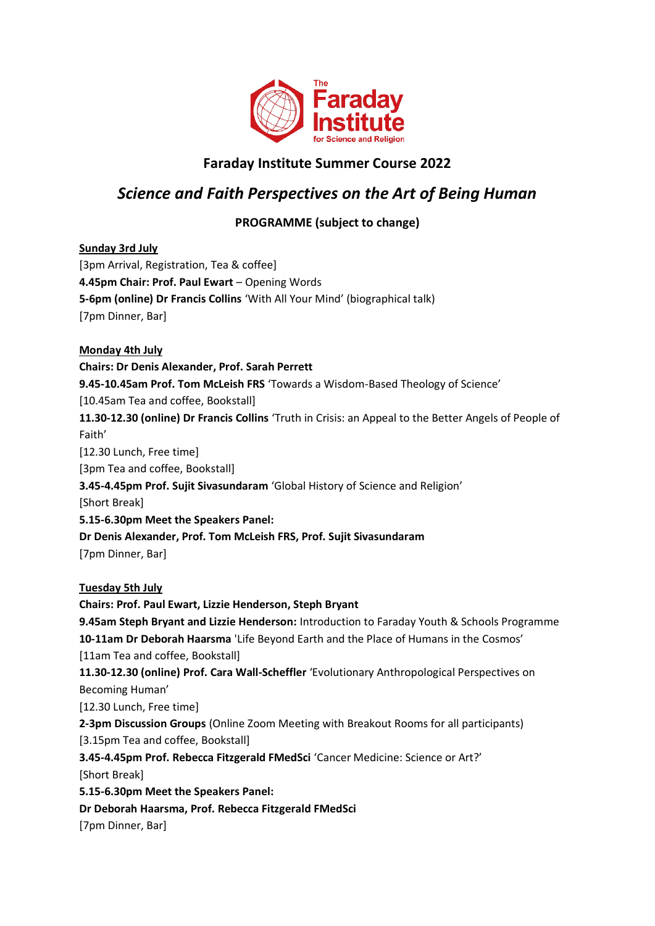

# **Faraday Institute Summer Course 2022**

# *Science and Faith Perspectives on the Art of Being Human*

# **PROGRAMME (subject to change)**

**Sunday 3rd July**  [3pm Arrival, Registration, Tea & coffee] **4.45pm Chair: Prof. Paul Ewart - Opening Words 5-6pm (online) Dr Francis Collins** 'With All Your Mind' (biographical talk) [7pm Dinner, Bar] **Monday 4th July Chairs: Dr Denis Alexander, Prof. Sarah Perrett 9.45-10.45am Prof. Tom McLeish FRS** 'Towards a Wisdom-Based Theology of Science' [10.45am Tea and coffee, Bookstall] **11.30-12.30 (online) Dr Francis Collins** 'Truth in Crisis: an Appeal to the Better Angels of People of Faith' [12.30 Lunch, Free time] [3pm Tea and coffee, Bookstall] **3.45-4.45pm Prof. Sujit Sivasundaram** 'Global History of Science and Religion' [Short Break] **5.15-6.30pm Meet the Speakers Panel: Dr Denis Alexander, Prof. Tom McLeish FRS, Prof. Sujit Sivasundaram**  [7pm Dinner, Bar] **Tuesday 5th July Chairs: Prof. Paul Ewart, Lizzie Henderson, Steph Bryant 9.45am Steph Bryant and Lizzie Henderson:** Introduction to Faraday Youth & Schools Programme **10-11am Dr Deborah Haarsma** 'Life Beyond Earth and the Place of Humans in the Cosmos' [11am Tea and coffee, Bookstall] **11.30-12.30 (online) Prof. Cara Wall-Scheffler** 'Evolutionary Anthropological Perspectives on Becoming Human' [12.30 Lunch, Free time] **2-3pm Discussion Groups** (Online Zoom Meeting with Breakout Rooms for all participants) [3.15pm Tea and coffee, Bookstall] **3.45-4.45pm Prof. Rebecca Fitzgerald FMedSci** 'Cancer Medicine: Science or Art?' [Short Break] **5.15-6.30pm Meet the Speakers Panel: Dr Deborah Haarsma, Prof. Rebecca Fitzgerald FMedSci** [7pm Dinner, Bar]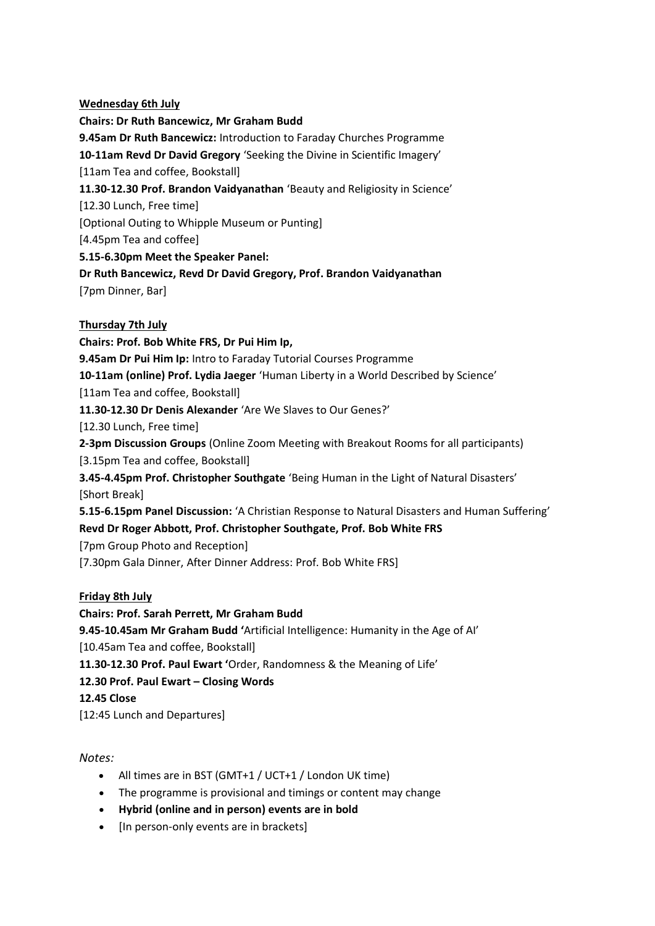#### **Wednesday 6th July**

**Chairs: Dr Ruth Bancewicz, Mr Graham Budd 9.45am Dr Ruth Bancewicz:** Introduction to Faraday Churches Programme **10-11am Revd Dr David Gregory** 'Seeking the Divine in Scientific Imagery' [11am Tea and coffee, Bookstall] **11.30-12.30 Prof. Brandon Vaidyanathan** 'Beauty and Religiosity in Science' [12.30 Lunch, Free time] [Optional Outing to Whipple Museum or Punting] [4.45pm Tea and coffee] **5.15-6.30pm Meet the Speaker Panel: Dr Ruth Bancewicz, Revd Dr David Gregory, Prof. Brandon Vaidyanathan**  [7pm Dinner, Bar] **Thursday 7th July Chairs: Prof. Bob White FRS, Dr Pui Him Ip, 9.45am Dr Pui Him Ip:** Intro to Faraday Tutorial Courses Programme **10-11am (online) Prof. Lydia Jaeger** 'Human Liberty in a World Described by Science' [11am Tea and coffee, Bookstall]

**11.30-12.30 Dr Denis Alexander** 'Are We Slaves to Our Genes?'

[12.30 Lunch, Free time]

**2-3pm Discussion Groups** (Online Zoom Meeting with Breakout Rooms for all participants)

[3.15pm Tea and coffee, Bookstall]

**3.45-4.45pm Prof. Christopher Southgate** 'Being Human in the Light of Natural Disasters' [Short Break]

**5.15-6.15pm Panel Discussion:** 'A Christian Response to Natural Disasters and Human Suffering'

## **Revd Dr Roger Abbott, Prof. Christopher Southgate, Prof. Bob White FRS**

[7pm Group Photo and Reception]

[7.30pm Gala Dinner, After Dinner Address: Prof. Bob White FRS]

## **Friday 8th July**

**Chairs: Prof. Sarah Perrett, Mr Graham Budd**

**9.45-10.45am Mr Graham Budd '**Artificial Intelligence: Humanity in the Age of AI'

[10.45am Tea and coffee, Bookstall]

**11.30-12.30 Prof. Paul Ewart '**Order, Randomness & the Meaning of Life'

**12.30 Prof. Paul Ewart – Closing Words**

#### **12.45 Close**

[12:45 Lunch and Departures]

#### *Notes:*

- All times are in BST (GMT+1 / UCT+1 / London UK time)
- The programme is provisional and timings or content may change
- **Hybrid (online and in person) events are in bold**
- [In person-only events are in brackets]